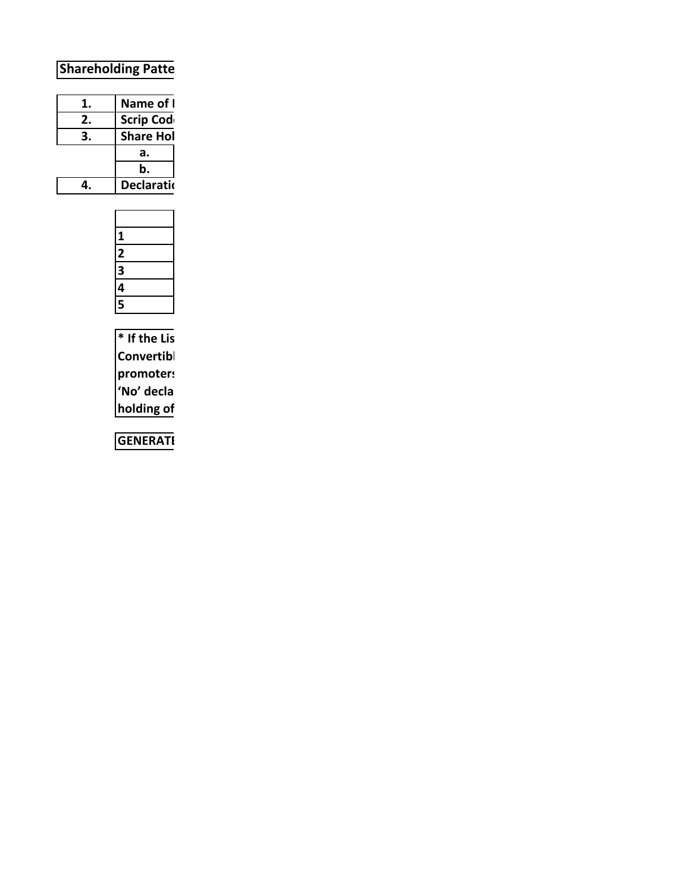## **Shareholding Patte**

| 1. | Name of I         |
|----|-------------------|
| 2. | <b>Scrip Code</b> |
| 3. | <b>Share Hol</b>  |
|    | а.                |
|    | b.                |
| 4. | Declaratio        |

|  | 1 |
|--|---|
|  | 2 |
|  | 3 |
|  |   |
|  | 5 |

**\* If the Listed Entity selects the option 'No' for the questions above, the columns for the partly paid up shares, Outstanding Convertible Securities (Warrants, 1998)** receipts, and the shares pledged or otherwise encounterpledged or otherwise encounterpledged or otherwise encounterpledge or otherwise encounterpledge or otherwise encounterpledge **promoters, as applicable, shall not be displayed at the time of dissemination on the Stock Exchange website. Also wherever there is 'No' declared by Listed Entity in above table the values will be considered as 'Zero' by default on submission of the format of holding of** 

GENERATI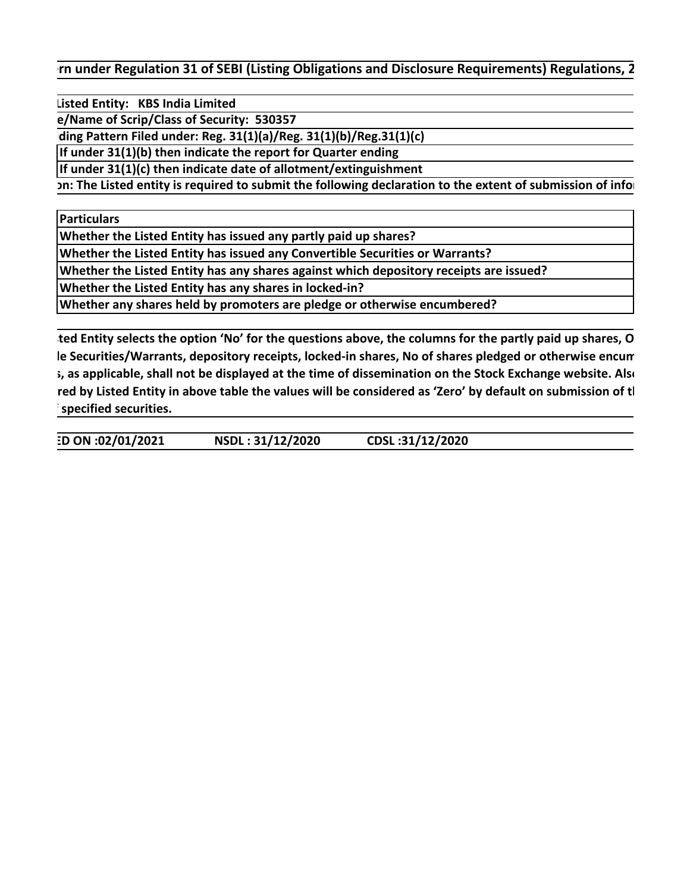**In under Regulation 31 of SEBI (Listing Obligations and Disclosure Requirements) Regulations, 2** 

Listed Entity: KBS India Limited

 **Scrip Code/Name of Scrip/Class of Security: 530357**

 **Share Holding Pattern Filed under: Reg. 31(1)(a)/Reg. 31(1)(b)/Reg.31(1)(c)** 

**If under 31(1)(b) then indicate the report for Quarter ending**

**If under 31(1)(c) then indicate date of allotment/extinguishment**

**IDECT The Listed entity is required to submit the following declaration to the extent of submission of information:** 

**Particulars**

**Whether the Listed Entity has issued any partly paid up shares?**

**Whether the Listed Entity has issued any Convertible Securities or Warrants?**

**Whether the Listed Entity has any shares against which depository receipts are issued?**

**Whether the Listed Entity has any shares in locked-in?**

**Whether any shares held by promoters are pledge or otherwise encumbered?**

ted Entity selects the option 'No' for the questions above, the columns for the partly paid up shares, O le Securities/Warrants, depository receipts, locked-in shares, No of shares pledged or otherwise encum **5, as applicable, shall not be displayed at the time of dissemination on the Stock Exchange website. Also** red by Listed Entity in above table the values will be considered as 'Zero' by default on submission of tl **specified securities.** 

**GENERATED ON :02/01/2021 NSDL : 31/12/2020 CDSL :31/12/2020**